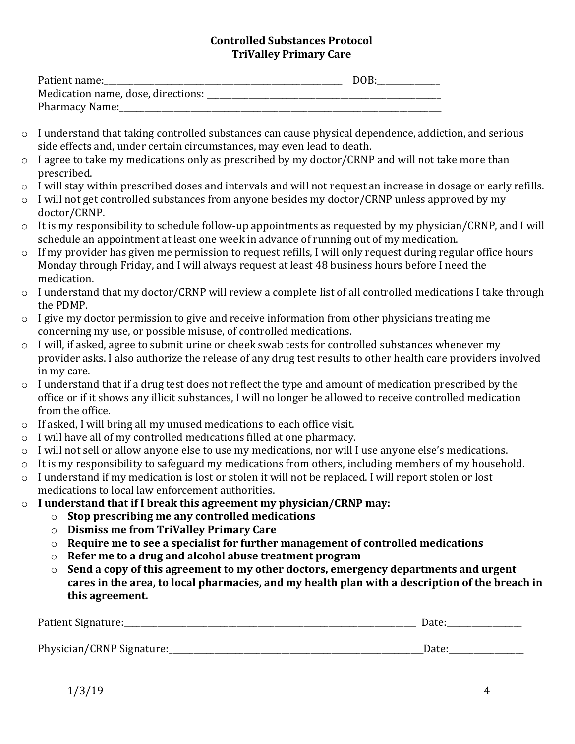## **Controlled Substances Protocol TriValley Primary Care**

| Patient name:                      | DOB: |
|------------------------------------|------|
| Medication name, dose, directions: |      |
| <b>Pharmacy Name:</b>              |      |

- $\circ$  I understand that taking controlled substances can cause physical dependence, addiction, and serious side effects and, under certain circumstances, may even lead to death.
- o I agree to take my medications only as prescribed by my doctor/CRNP and will not take more than prescribed.
- o I will stay within prescribed doses and intervals and will not request an increase in dosage or early refills.
- o I will not get controlled substances from anyone besides my doctor/CRNP unless approved by my doctor/CRNP.
- o It is my responsibility to schedule follow-up appointments as requested by my physician/CRNP, and I will schedule an appointment at least one week in advance of running out of my medication.
- $\circ$  If my provider has given me permission to request refills, I will only request during regular office hours Monday through Friday, and I will always request at least 48 business hours before I need the medication.
- o I understand that my doctor/CRNP will review a complete list of all controlled medications I take through the PDMP.
- o I give my doctor permission to give and receive information from other physicians treating me concerning my use, or possible misuse, of controlled medications.
- o I will, if asked, agree to submit urine or cheek swab tests for controlled substances whenever my provider asks. I also authorize the release of any drug test results to other health care providers involved in my care.
- o I understand that if a drug test does not reflect the type and amount of medication prescribed by the office or if it shows any illicit substances, I will no longer be allowed to receive controlled medication from the office.
- o If asked, I will bring all my unused medications to each office visit.
- o I will have all of my controlled medications filled at one pharmacy.
- $\circ$  I will not sell or allow anyone else to use my medications, nor will I use anyone else's medications.
- o It is my responsibility to safeguard my medications from others, including members of my household.
- o I understand if my medication is lost or stolen it will not be replaced. I will report stolen or lost medications to local law enforcement authorities.
- o **I understand that if I break this agreement my physician/CRNP may:**
	- o **Stop prescribing me any controlled medications**
	- o **Dismiss me from TriValley Primary Care**
	- o **Require me to see a specialist for further management of controlled medications**
	- o **Refer me to a drug and alcohol abuse treatment program**
	- o **Send a copy of this agreement to my other doctors, emergency departments and urgent cares in the area, to local pharmacies, and my health plan with a description of the breach in this agreement.**

| Patient Signature:        | Date: |
|---------------------------|-------|
|                           |       |
| Physician/CRNP Signature: | Date  |